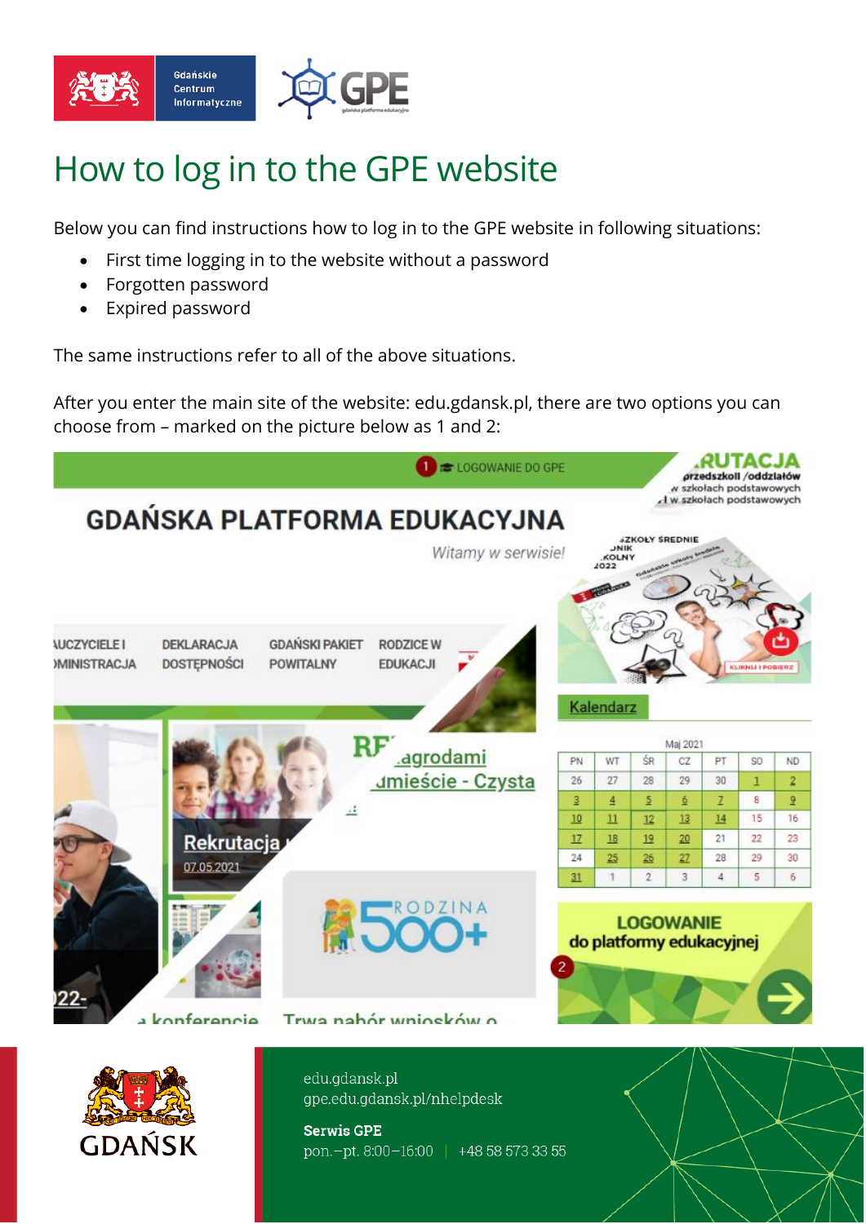

## How to log in to the GPE website

Below you can find instructions how to log in to the GPE website in following situations:

- First time logging in to the website without a password
- Forgotten password
- Expired password

The same instructions refer to all of the above situations.

After you enter the main site of the website: edu.gdansk.pl, there are two options you can choose from – marked on the picture below as 1 and 2:

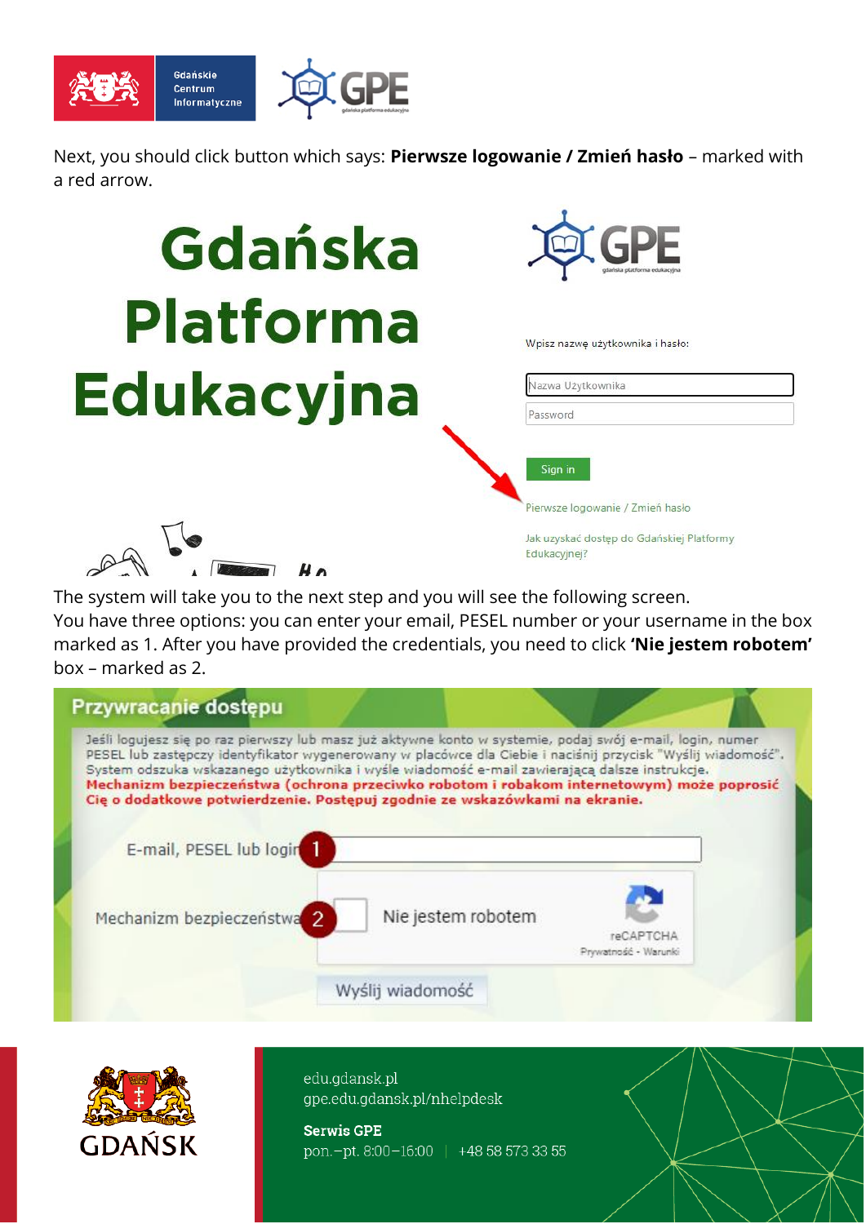

Next, you should click button which says: **Pierwsze logowanie / Zmień hasło** – marked with a red arrow.

## Gdańska **Platforma Edukacyjna**



Wpisz nazwę użytkownika i hasło:

| Password |  |
|----------|--|
|          |  |

Pierwsze logowanie / Zmień hasło

Jak uzyskać dostęp do Gdańskiej Platformy Edukacyjnej?

The system will take you to the next step and you will see the following screen. You have three options: you can enter your email, PESEL number or your username in the box marked as 1. After you have provided the credentials, you need to click **'Nie jestem robotem'** 

box – marked as 2.





edu.gdansk.pl gpe.edu.gdansk.pl/nhelpdesk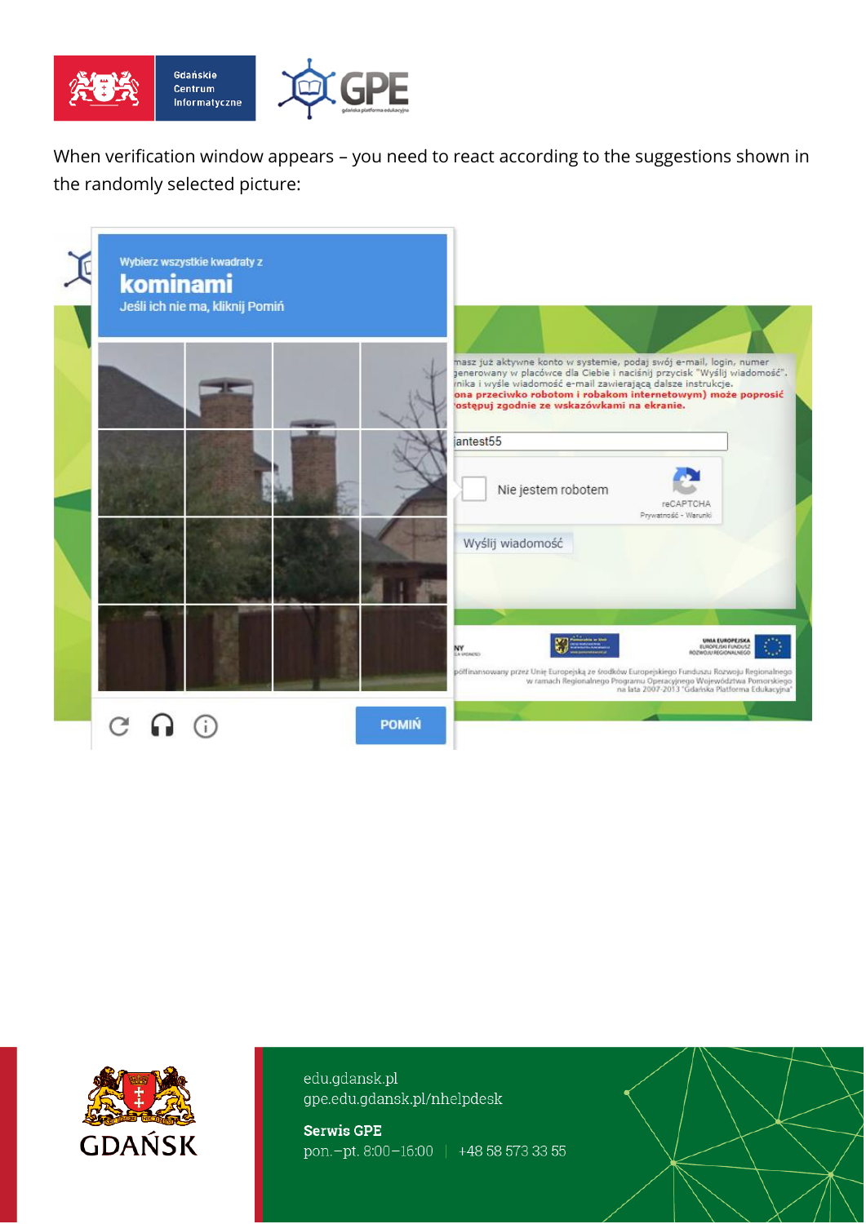

When verification window appears – you need to react according to the suggestions shown in the randomly selected picture:

| kominami | Wybierz wszystkie kwadraty z<br>Jeśli ich nie ma, kliknij Pomiń |              |                                                                                                                                                                                                                                                                                                                             |
|----------|-----------------------------------------------------------------|--------------|-----------------------------------------------------------------------------------------------------------------------------------------------------------------------------------------------------------------------------------------------------------------------------------------------------------------------------|
|          |                                                                 |              | masz już aktywne konto w systemie, podaj swój e-mail, login, numer<br>generowany w placówce dla Ciebie i naciśnij przycisk "Wyślij wiadomość".<br>mika i wyśle wiadomość e-mail zawierającą dalsze instrukcje.<br>ona przeciwko robotom i robakom internetowym) może poprosić<br>ostępuj zgodnie ze wskazówkami na ekranie. |
|          |                                                                 |              | jantest55<br>Nie jestem robotem<br>reCAPTCHA<br>Prywatność - Warunki                                                                                                                                                                                                                                                        |
|          |                                                                 |              | Wyślij wiadomość                                                                                                                                                                                                                                                                                                            |
|          |                                                                 |              | <b>UNIA EUROPEISKA</b><br>EUROPEJNI FUNDUSZ<br>ODJAWOJSZE WOWDOR<br>NY<br>La venezo<br>półfinansowany przez Unię Europejską ze środków Europejskiego Funduszu Rozwoju Regionalnego<br>w ramach Regionalnego Programu Operacyjnego Województwa Pomorskiego<br>na lata 2007-2013 'Gdańska Platforma Edukacyjna'               |
|          |                                                                 | <b>POMIŃ</b> |                                                                                                                                                                                                                                                                                                                             |



edu.gdansk.pl gpe.edu.gdansk.pl/nhelpdesk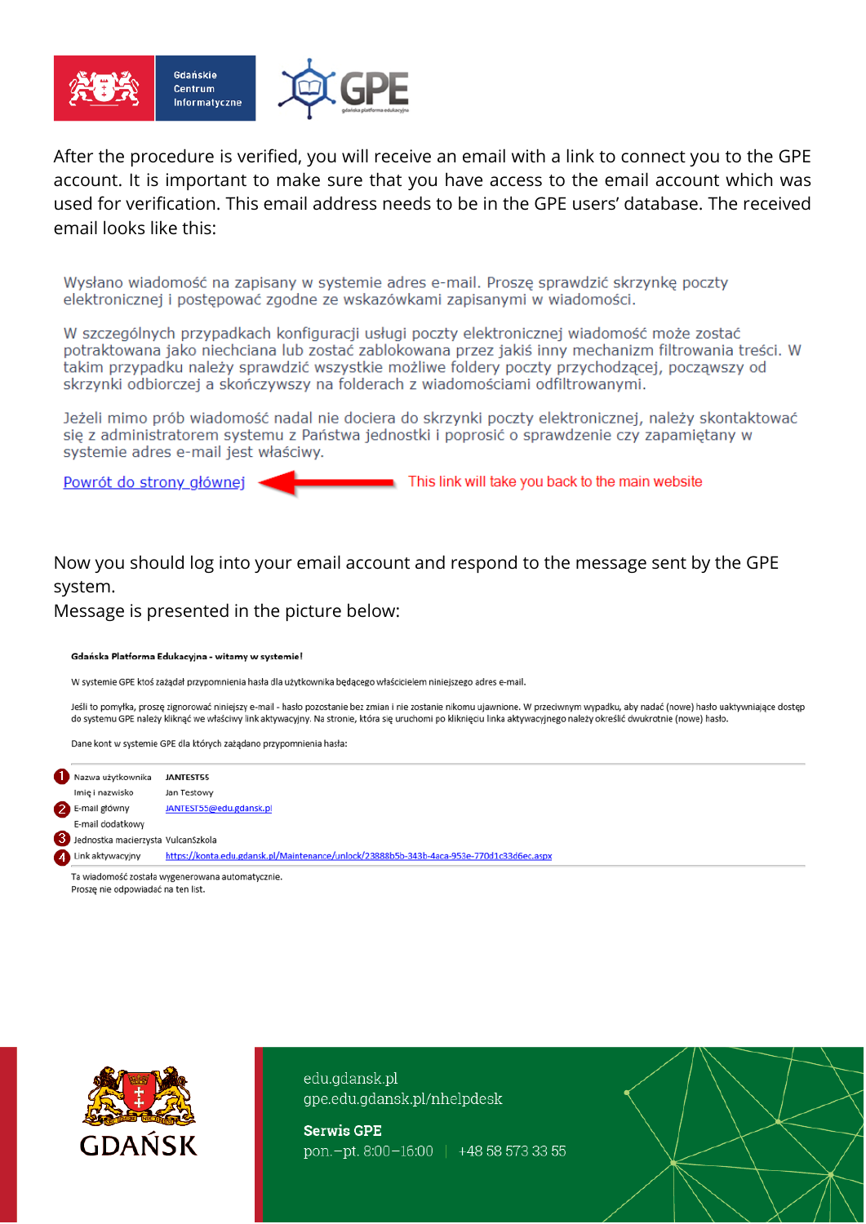

After the procedure is verified, you will receive an email with a link to connect you to the GPE account. It is important to make sure that you have access to the email account which was used for verification. This email address needs to be in the GPE users' database. The received email looks like this:

Wysłano wiadomość na zapisany w systemie adres e-mail. Proszę sprawdzić skrzynkę poczty elektronicznej i postępować zgodne ze wskazówkami zapisanymi w wiadomości.

W szczególnych przypadkach konfiguracji usługi poczty elektronicznej wiadomość może zostać potraktowana jako niechciana lub zostać zablokowana przez jakiś inny mechanizm filtrowania treści. W takim przypadku należy sprawdzić wszystkie możliwe foldery poczty przychodzącej, począwszy od skrzynki odbiorczej a skończywszy na folderach z wiadomościami odfiltrowanymi.

Jeżeli mimo prób wiadomość nadal nie dociera do skrzynki poczty elektronicznej, należy skontaktować się z administratorem systemu z Państwa jednostki i poprosić o sprawdzenie czy zapamiętany w systemie adres e-mail jest właściwy.

Powrót do strony głównej

This link will take you back to the main website

Now you should log into your email account and respond to the message sent by the GPE system.

Message is presented in the picture below:

## Gdańska Platforma Edukacyjna - witamy w systemie!

W systemie GPE ktoś zażadał przypomnienia hasła dla użytkownika bedacego właścicielem niniejszego adres e-mail.

Jeśli to pomyłka, proszę zignorować niniejszy e-mail - hasło pozostanie bez zmian i nie zostanie nikomu ujawnione. W przeciwnym wypadku, aby nadać (nowe) hasło uaktywniające dostęp do systemu GPE należy kliknąć we właściwy link aktywacyjny. Na stronie, która się uruchomi po kliknięciu linka aktywacyjnego należy określić dwukrotnie (nowe) hasło.

Dane kont w systemie GPE dla których zażądano przypomnienia hasła:



Proszę nie odpowiadać na ten list.



edu.gdansk.pl gpe.edu.gdansk.pl/nhelpdesk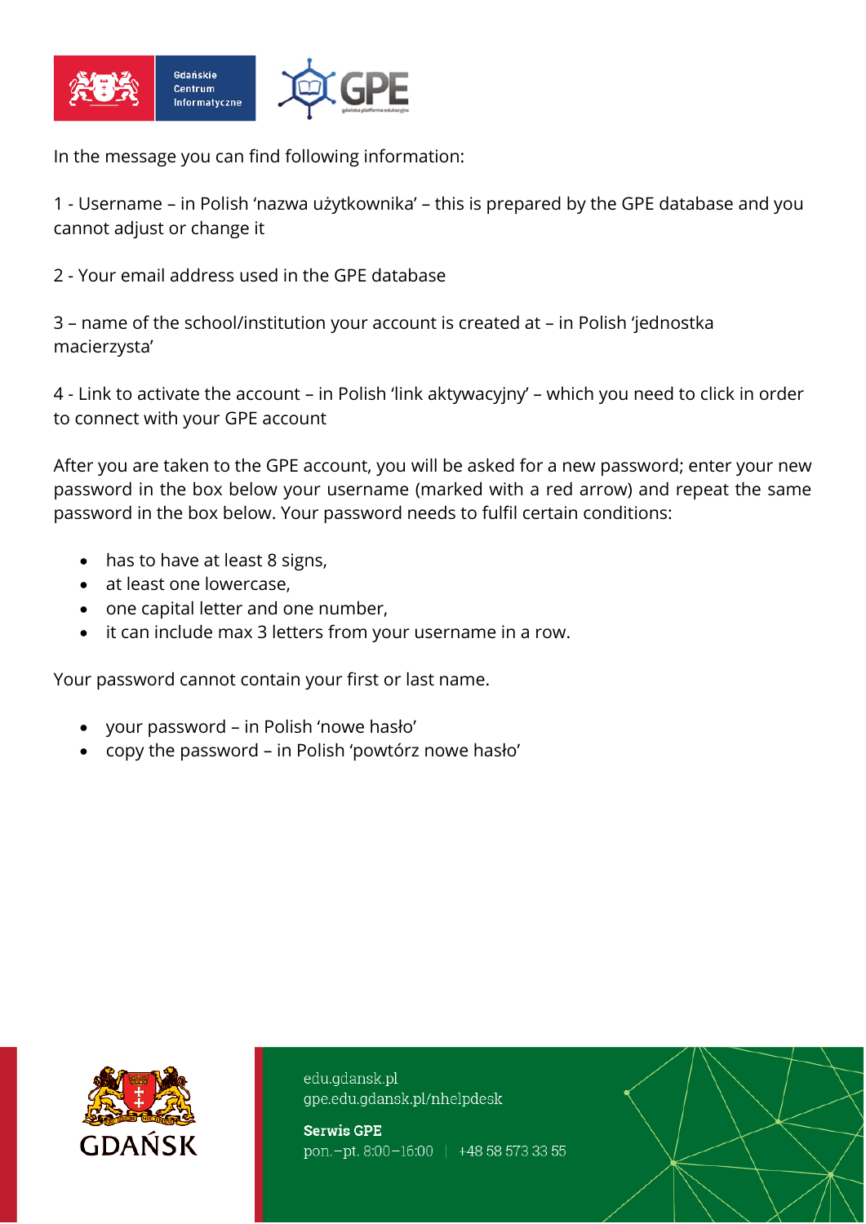

In the message you can find following information:

1 - Username – in Polish 'nazwa użytkownika' – this is prepared by the GPE database and you cannot adjust or change it

2 - Your email address used in the GPE database

3 – name of the school/institution your account is created at – in Polish 'jednostka macierzysta'

4 - Link to activate the account – in Polish 'link aktywacyjny' – which you need to click in order to connect with your GPE account

After you are taken to the GPE account, you will be asked for a new password; enter your new password in the box below your username (marked with a red arrow) and repeat the same password in the box below. Your password needs to fulfil certain conditions:

- has to have at least 8 signs,
- at least one lowercase.
- one capital letter and one number,
- it can include max 3 letters from your username in a row.

Your password cannot contain your first or last name.

- your password in Polish 'nowe hasło'
- copy the password in Polish 'powtórz nowe hasło'



edu.gdansk.pl gpe.edu.gdansk.pl/nhelpdesk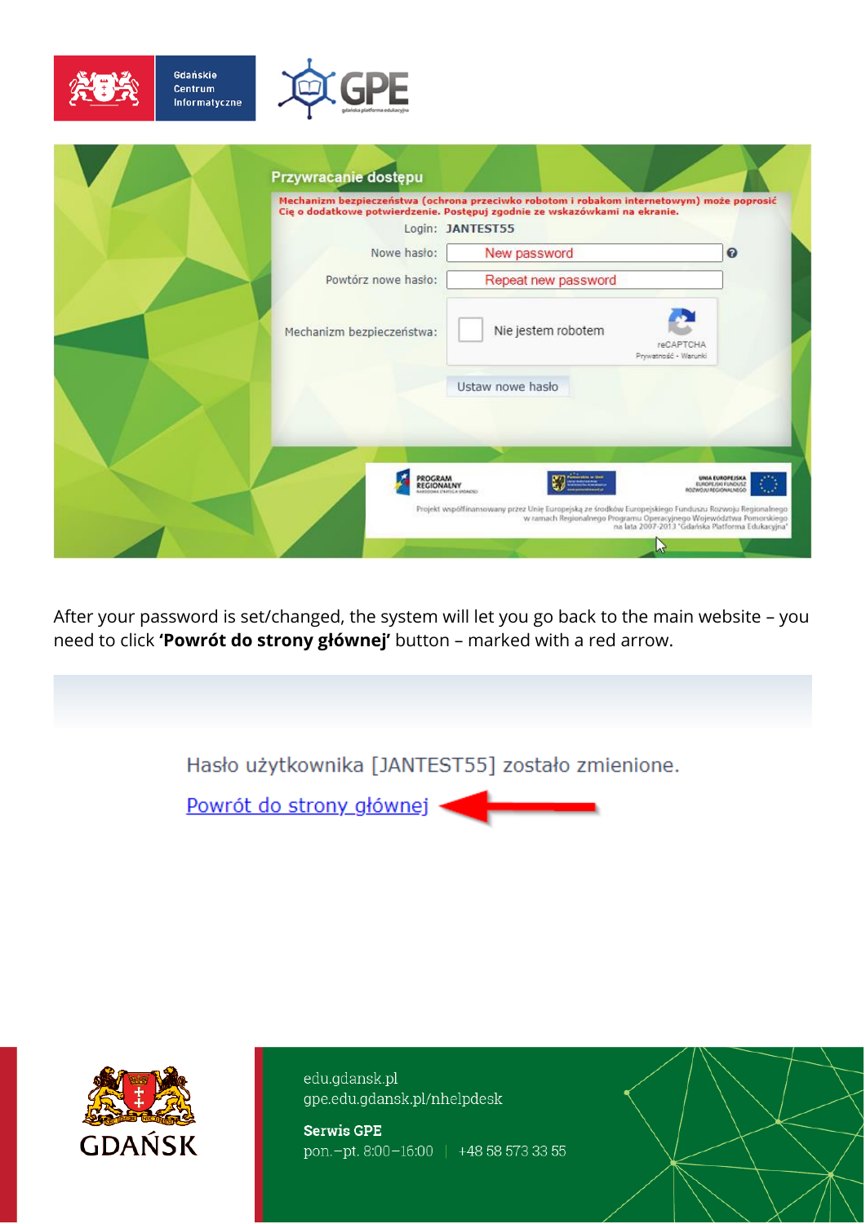

Gdańskie

Centrum Informatyczne

|                           | Mechanizm bezpieczeństwa (ochrona przeciwko robotom i robakom internetowym) może poprosić<br>Cie o dodatkowe potwierdzenie. Postępuj zgodnie ze wskazówkami na ekranie.<br>Login: JANTEST55 |                                                                      |
|---------------------------|---------------------------------------------------------------------------------------------------------------------------------------------------------------------------------------------|----------------------------------------------------------------------|
| Nowe hasło:               | New password                                                                                                                                                                                | $\boldsymbol{Q}$                                                     |
| Powtórz nowe hasło:       | Repeat new password                                                                                                                                                                         |                                                                      |
| Mechanizm bezpieczeństwa: | Nie jestem robotem<br>reCAPTCHA<br>Prywatność - Warunki                                                                                                                                     |                                                                      |
|                           | Ustaw nowe hasło                                                                                                                                                                            |                                                                      |
|                           |                                                                                                                                                                                             |                                                                      |
| PROGRAM<br>REGIONALNY     |                                                                                                                                                                                             | <b>UNA EUROPEJSKA</b><br>EUROPEJSKI FUNDUSZ<br>OZIMUJAS/ZREKULNISZOR |

After your password is set/changed, the system will let you go back to the main website - you need to click 'Powrót do strony głównej' button - marked with a red arrow.

Hasło użytkownika [JANTEST55] zostało zmienione.

Powrót do strony głównej ·



edu.gdansk.pl gpe.edu.gdansk.pl/nhelpdesk